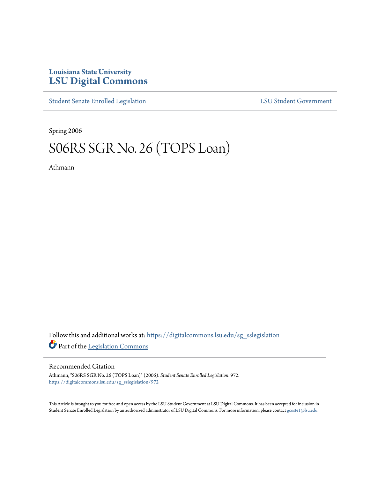## **Louisiana State University [LSU Digital Commons](https://digitalcommons.lsu.edu?utm_source=digitalcommons.lsu.edu%2Fsg_sslegislation%2F972&utm_medium=PDF&utm_campaign=PDFCoverPages)**

[Student Senate Enrolled Legislation](https://digitalcommons.lsu.edu/sg_sslegislation?utm_source=digitalcommons.lsu.edu%2Fsg_sslegislation%2F972&utm_medium=PDF&utm_campaign=PDFCoverPages) [LSU Student Government](https://digitalcommons.lsu.edu/sg?utm_source=digitalcommons.lsu.edu%2Fsg_sslegislation%2F972&utm_medium=PDF&utm_campaign=PDFCoverPages)

Spring 2006

## S06RS SGR No. 26 (TOPS Loan)

Athmann

Follow this and additional works at: [https://digitalcommons.lsu.edu/sg\\_sslegislation](https://digitalcommons.lsu.edu/sg_sslegislation?utm_source=digitalcommons.lsu.edu%2Fsg_sslegislation%2F972&utm_medium=PDF&utm_campaign=PDFCoverPages) Part of the [Legislation Commons](http://network.bepress.com/hgg/discipline/859?utm_source=digitalcommons.lsu.edu%2Fsg_sslegislation%2F972&utm_medium=PDF&utm_campaign=PDFCoverPages)

## Recommended Citation

Athmann, "S06RS SGR No. 26 (TOPS Loan)" (2006). *Student Senate Enrolled Legislation*. 972. [https://digitalcommons.lsu.edu/sg\\_sslegislation/972](https://digitalcommons.lsu.edu/sg_sslegislation/972?utm_source=digitalcommons.lsu.edu%2Fsg_sslegislation%2F972&utm_medium=PDF&utm_campaign=PDFCoverPages)

This Article is brought to you for free and open access by the LSU Student Government at LSU Digital Commons. It has been accepted for inclusion in Student Senate Enrolled Legislation by an authorized administrator of LSU Digital Commons. For more information, please contact [gcoste1@lsu.edu.](mailto:gcoste1@lsu.edu)